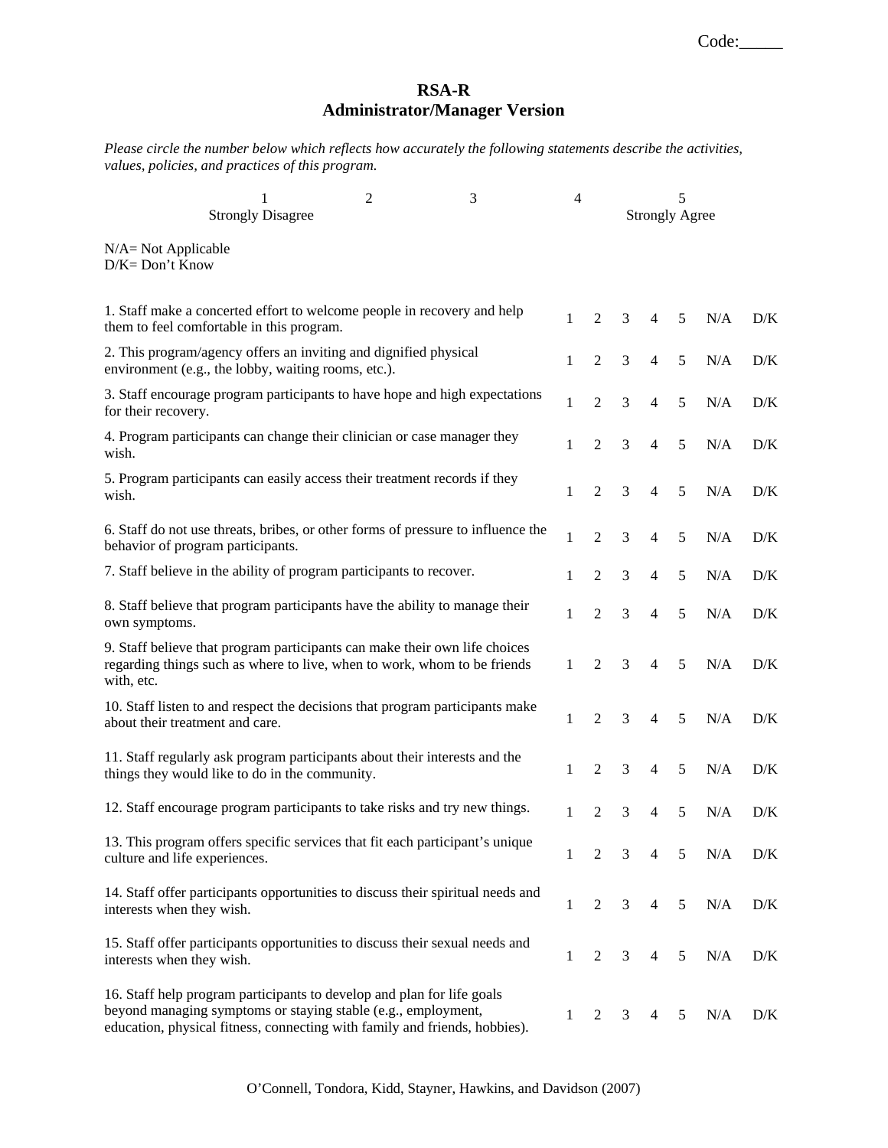## **RSA-R Administrator/Manager Version**

*Please circle the number below which reflects how accurately the following statements describe the activities, values, policies, and practices of this program.* 

|                                              | <b>Strongly Disagree</b>                                                                                                                                                                                              | 2 | 3 | $\overline{4}$ |                | 5<br><b>Strongly Agree</b> |                |   |     |     |
|----------------------------------------------|-----------------------------------------------------------------------------------------------------------------------------------------------------------------------------------------------------------------------|---|---|----------------|----------------|----------------------------|----------------|---|-----|-----|
| $N/A = Not Applicable$<br>$D/K = Don't Know$ |                                                                                                                                                                                                                       |   |   |                |                |                            |                |   |     |     |
|                                              | 1. Staff make a concerted effort to welcome people in recovery and help<br>them to feel comfortable in this program.                                                                                                  |   |   | $\mathbf{1}$   | $\overline{2}$ | 3                          | $\overline{4}$ | 5 | N/A | D/K |
|                                              | 2. This program/agency offers an inviting and dignified physical<br>environment (e.g., the lobby, waiting rooms, etc.).                                                                                               |   |   | 1              | $\overline{2}$ | 3                          | $\overline{4}$ | 5 | N/A | D/K |
| for their recovery.                          | 3. Staff encourage program participants to have hope and high expectations                                                                                                                                            |   |   | 1              | $\overline{2}$ | 3                          | $\overline{4}$ | 5 | N/A | D/K |
| wish.                                        | 4. Program participants can change their clinician or case manager they                                                                                                                                               |   |   | 1              | $\overline{2}$ | 3                          | $\overline{4}$ | 5 | N/A | D/K |
| wish.                                        | 5. Program participants can easily access their treatment records if they                                                                                                                                             |   |   | 1              | $\overline{2}$ | 3                          | $\overline{4}$ | 5 | N/A | D/K |
| behavior of program participants.            | 6. Staff do not use threats, bribes, or other forms of pressure to influence the                                                                                                                                      |   |   | 1              | $\overline{2}$ | 3                          | $\overline{4}$ | 5 | N/A | D/K |
|                                              | 7. Staff believe in the ability of program participants to recover.                                                                                                                                                   |   |   | 1              | $\overline{2}$ | 3                          | $\overline{4}$ | 5 | N/A | D/K |
| own symptoms.                                | 8. Staff believe that program participants have the ability to manage their                                                                                                                                           |   |   | 1              | $\overline{2}$ | 3                          | 4              | 5 | N/A | D/K |
| with, etc.                                   | 9. Staff believe that program participants can make their own life choices<br>regarding things such as where to live, when to work, whom to be friends                                                                |   |   | 1              | 2              | 3                          | $\overline{4}$ | 5 | N/A | D/K |
| about their treatment and care.              | 10. Staff listen to and respect the decisions that program participants make                                                                                                                                          |   |   | 1              | $\overline{2}$ | 3                          | 4              | 5 | N/A | D/K |
|                                              | 11. Staff regularly ask program participants about their interests and the<br>things they would like to do in the community.                                                                                          |   |   | 1              | $\overline{2}$ | 3                          | $\overline{4}$ | 5 | N/A | D/K |
|                                              | 12. Staff encourage program participants to take risks and try new things.                                                                                                                                            |   |   | 1              | 2              | 3                          | 4              | 5 | N/A | D/K |
| culture and life experiences.                | 13. This program offers specific services that fit each participant's unique                                                                                                                                          |   |   | 1              | $\overline{c}$ | 3                          | 4              | 5 | N/A | D/K |
| interests when they wish.                    | 14. Staff offer participants opportunities to discuss their spiritual needs and                                                                                                                                       |   |   | $\mathbf{1}$   | $\overline{2}$ | 3                          | $\overline{4}$ | 5 | N/A | D/K |
| interests when they wish.                    | 15. Staff offer participants opportunities to discuss their sexual needs and                                                                                                                                          |   |   | $\mathbf{1}$   | $\overline{2}$ | 3                          | $\overline{4}$ | 5 | N/A | D/K |
|                                              | 16. Staff help program participants to develop and plan for life goals<br>beyond managing symptoms or staying stable (e.g., employment,<br>education, physical fitness, connecting with family and friends, hobbies). |   |   | 1              | 2              | 3                          | 4              | 5 | N/A | D/K |

O'Connell, Tondora, Kidd, Stayner, Hawkins, and Davidson (2007)